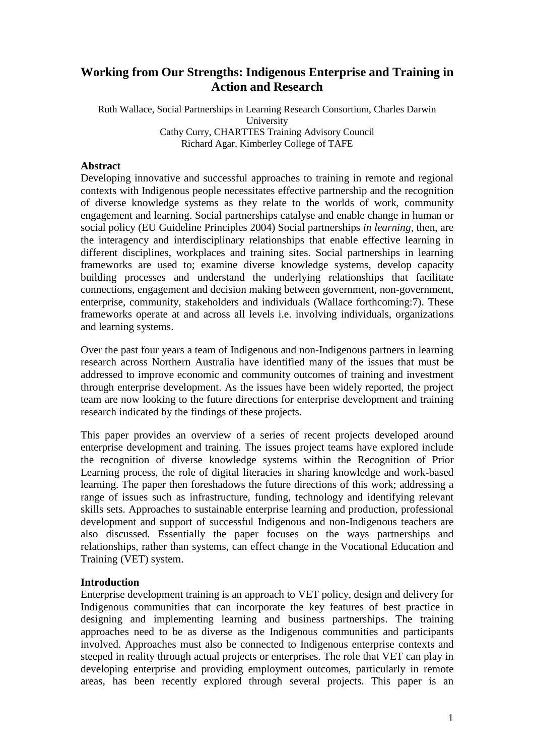# **Working from Our Strengths: Indigenous Enterprise and Training in Action and Research**

Ruth Wallace, Social Partnerships in Learning Research Consortium, Charles Darwin University Cathy Curry, CHARTTES Training Advisory Council Richard Agar, Kimberley College of TAFE

#### **Abstract**

Developing innovative and successful approaches to training in remote and regional contexts with Indigenous people necessitates effective partnership and the recognition of diverse knowledge systems as they relate to the worlds of work, community engagement and learning. Social partnerships catalyse and enable change in human or social policy (EU Guideline Principles 2004) Social partnerships *in learning,* then, are the interagency and interdisciplinary relationships that enable effective learning in different disciplines, workplaces and training sites. Social partnerships in learning frameworks are used to; examine diverse knowledge systems, develop capacity building processes and understand the underlying relationships that facilitate connections, engagement and decision making between government, non-government, enterprise, community, stakeholders and individuals (Wallace forthcoming:7). These frameworks operate at and across all levels i.e. involving individuals, organizations and learning systems.

Over the past four years a team of Indigenous and non-Indigenous partners in learning research across Northern Australia have identified many of the issues that must be addressed to improve economic and community outcomes of training and investment through enterprise development. As the issues have been widely reported, the project team are now looking to the future directions for enterprise development and training research indicated by the findings of these projects.

This paper provides an overview of a series of recent projects developed around enterprise development and training. The issues project teams have explored include the recognition of diverse knowledge systems within the Recognition of Prior Learning process, the role of digital literacies in sharing knowledge and work-based learning. The paper then foreshadows the future directions of this work; addressing a range of issues such as infrastructure, funding, technology and identifying relevant skills sets. Approaches to sustainable enterprise learning and production, professional development and support of successful Indigenous and non-Indigenous teachers are also discussed. Essentially the paper focuses on the ways partnerships and relationships, rather than systems, can effect change in the Vocational Education and Training (VET) system.

#### **Introduction**

Enterprise development training is an approach to VET policy, design and delivery for Indigenous communities that can incorporate the key features of best practice in designing and implementing learning and business partnerships. The training approaches need to be as diverse as the Indigenous communities and participants involved. Approaches must also be connected to Indigenous enterprise contexts and steeped in reality through actual projects or enterprises. The role that VET can play in developing enterprise and providing employment outcomes, particularly in remote areas, has been recently explored through several projects. This paper is an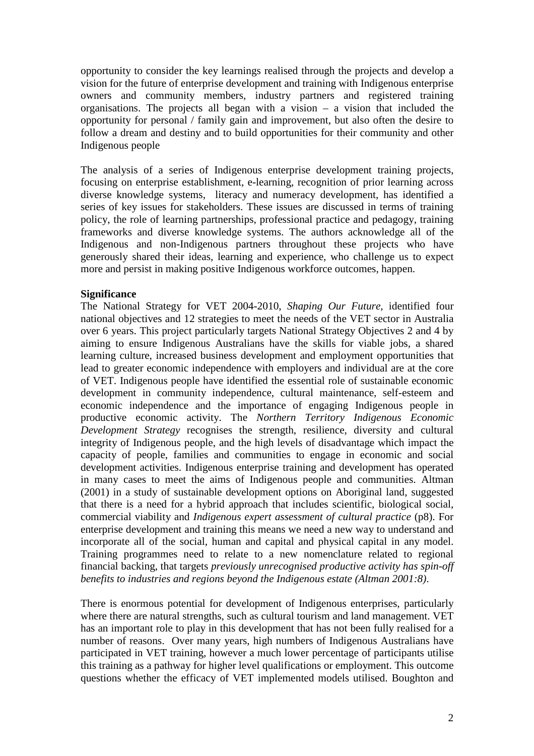opportunity to consider the key learnings realised through the projects and develop a vision for the future of enterprise development and training with Indigenous enterprise owners and community members, industry partners and registered training organisations. The projects all began with a vision  $-$  a vision that included the opportunity for personal / family gain and improvement, but also often the desire to follow a dream and destiny and to build opportunities for their community and other Indigenous people

The analysis of a series of Indigenous enterprise development training projects, focusing on enterprise establishment, e-learning, recognition of prior learning across diverse knowledge systems, literacy and numeracy development, has identified a series of key issues for stakeholders. These issues are discussed in terms of training policy, the role of learning partnerships, professional practice and pedagogy, training frameworks and diverse knowledge systems. The authors acknowledge all of the Indigenous and non-Indigenous partners throughout these projects who have generously shared their ideas, learning and experience, who challenge us to expect more and persist in making positive Indigenous workforce outcomes, happen.

#### **Significance**

The National Strategy for VET 2004-2010, *Shaping Our Future,* identified four national objectives and 12 strategies to meet the needs of the VET sector in Australia over 6 years. This project particularly targets National Strategy Objectives 2 and 4 by aiming to ensure Indigenous Australians have the skills for viable jobs, a shared learning culture, increased business development and employment opportunities that lead to greater economic independence with employers and individual are at the core of VET. Indigenous people have identified the essential role of sustainable economic development in community independence, cultural maintenance, self-esteem and economic independence and the importance of engaging Indigenous people in productive economic activity. The *Northern Territory Indigenous Economic Development Strategy* recognises the strength, resilience, diversity and cultural integrity of Indigenous people, and the high levels of disadvantage which impact the capacity of people, families and communities to engage in economic and social development activities. Indigenous enterprise training and development has operated in many cases to meet the aims of Indigenous people and communities. Altman (2001) in a study of sustainable development options on Aboriginal land, suggested that there is a need for a hybrid approach that includes scientific, biological social, commercial viability and *Indigenous expert assessment of cultural practice* (p8). For enterprise development and training this means we need a new way to understand and incorporate all of the social, human and capital and physical capital in any model. Training programmes need to relate to a new nomenclature related to regional financial backing, that targets *previously unrecognised productive activity has spin-off benefits to industries and regions beyond the Indigenous estate (Altman 2001:8)*.

There is enormous potential for development of Indigenous enterprises, particularly where there are natural strengths, such as cultural tourism and land management. VET has an important role to play in this development that has not been fully realised for a number of reasons. Over many years, high numbers of Indigenous Australians have participated in VET training, however a much lower percentage of participants utilise this training as a pathway for higher level qualifications or employment. This outcome questions whether the efficacy of VET implemented models utilised. Boughton and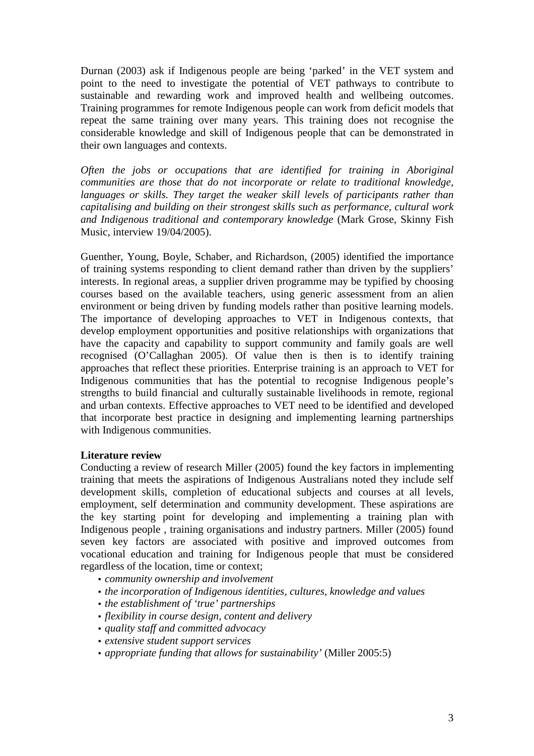Durnan (2003) ask if Indigenous people are being 'parked' in the VET system and point to the need to investigate the potential of VET pathways to contribute to sustainable and rewarding work and improved health and wellbeing outcomes. Training programmes for remote Indigenous people can work from deficit models that repeat the same training over many years. This training does not recognise the considerable knowledge and skill of Indigenous people that can be demonstrated in their own languages and contexts.

*Often the jobs or occupations that are identified for training in Aboriginal communities are those that do not incorporate or relate to traditional knowledge, languages or skills. They target the weaker skill levels of participants rather than capitalising and building on their strongest skills such as performance, cultural work and Indigenous traditional and contemporary knowledge* (Mark Grose, Skinny Fish Music, interview 19/04/2005).

Guenther, Young, Boyle, Schaber, and Richardson, (2005) identified the importance of training systems responding to client demand rather than driven by the suppliers' interests. In regional areas, a supplier driven programme may be typified by choosing courses based on the available teachers, using generic assessment from an alien environment or being driven by funding models rather than positive learning models. The importance of developing approaches to VET in Indigenous contexts, that develop employment opportunities and positive relationships with organizations that have the capacity and capability to support community and family goals are well recognised (O'Callaghan 2005). Of value then is then is to identify training approaches that reflect these priorities. Enterprise training is an approach to VET for Indigenous communities that has the potential to recognise Indigenous people's strengths to build financial and culturally sustainable livelihoods in remote, regional and urban contexts. Effective approaches to VET need to be identified and developed that incorporate best practice in designing and implementing learning partnerships with Indigenous communities.

#### **Literature review**

Conducting a review of research Miller (2005) found the key factors in implementing training that meets the aspirations of Indigenous Australians noted they include self development skills, completion of educational subjects and courses at all levels, employment, self determination and community development. These aspirations are the key starting point for developing and implementing a training plan with Indigenous people , training organisations and industry partners. Miller (2005) found seven key factors are associated with positive and improved outcomes from vocational education and training for Indigenous people that must be considered regardless of the location, time or context;

- *community ownership and involvement*
- *the incorporation of Indigenous identities, cultures, knowledge and values*
- *the establishment of 'true' partnerships*
- *flexibility in course design, content and delivery*
- *quality staff and committed advocacy*
- *extensive student support services*
- *appropriate funding that allows for sustainability'* (Miller 2005:5)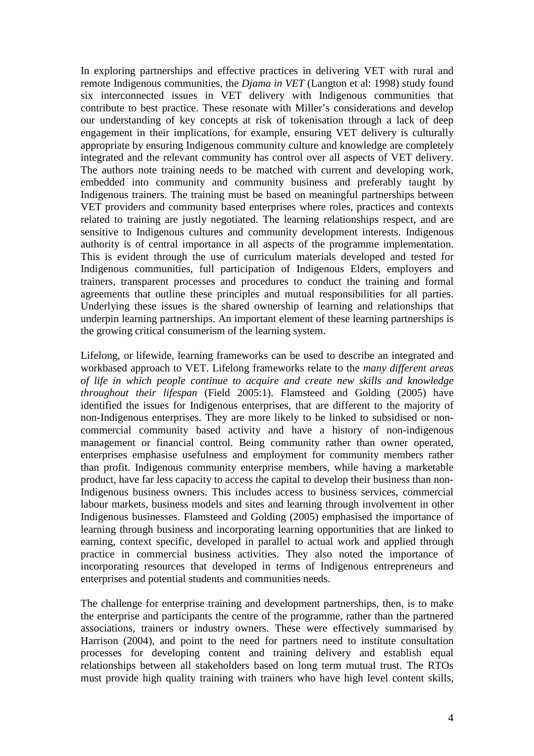In exploring partnerships and effective practices in delivering VET with rural and remote Indigenous communities, the *Djama in VET* (Langton et al: 1998) study found six interconnected issues in VET delivery with Indigenous communities that contribute to best practice. These resonate with Miller's considerations and develop our understanding of key concepts at risk of tokenisation through a lack of deep engagement in their implications, for example, ensuring VET delivery is culturally appropriate by ensuring Indigenous community culture and knowledge are completely integrated and the relevant community has control over all aspects of VET delivery. The authors note training needs to be matched with current and developing work, embedded into community and community business and preferably taught by Indigenous trainers. The training must be based on meaningful partnerships between VET providers and community based enterprises where roles, practices and contexts related to training are justly negotiated. The learning relationships respect, and are sensitive to Indigenous cultures and community development interests. Indigenous authority is of central importance in all aspects of the programme implementation. This is evident through the use of curriculum materials developed and tested for Indigenous communities, full participation of Indigenous Elders, employers and trainers, transparent processes and procedures to conduct the training and formal agreements that outline these principles and mutual responsibilities for all parties. Underlying these issues is the shared ownership of learning and relationships that underpin learning partnerships. An important element of these learning partnerships is the growing critical consumerism of the learning system.

Lifelong, or lifewide, learning frameworks can be used to describe an integrated and workbased approach to VET. Lifelong frameworks relate to the *many different areas of life in which people continue to acquire and create new skills and knowledge throughout their lifespan* (Field 2005:1). Flamsteed and Golding (2005) have identified the issues for Indigenous enterprises, that are different to the majority of non-Indigenous enterprises. They are more likely to be linked to subsidised or noncommercial community based activity and have a history of non-indigenous management or financial control. Being community rather than owner operated, enterprises emphasise usefulness and employment for community members rather than profit. Indigenous community enterprise members, while having a marketable product, have far less capacity to access the capital to develop their business than non-Indigenous business owners. This includes access to business services, commercial labour markets, business models and sites and learning through involvement in other Indigenous businesses. Flamsteed and Golding (2005) emphasised the importance of learning through business and incorporating learning opportunities that are linked to earning, context specific, developed in parallel to actual work and applied through practice in commercial business activities. They also noted the importance of incorporating resources that developed in terms of Indigenous entrepreneurs and enterprises and potential students and communities needs.

The challenge for enterprise training and development partnerships, then, is to make the enterprise and participants the centre of the programme, rather than the partnered associations, trainers or industry owners. These were effectively summarised by Harrison (2004), and point to the need for partners need to institute consultation processes for developing content and training delivery and establish equal relationships between all stakeholders based on long term mutual trust. The RTOs must provide high quality training with trainers who have high level content skills,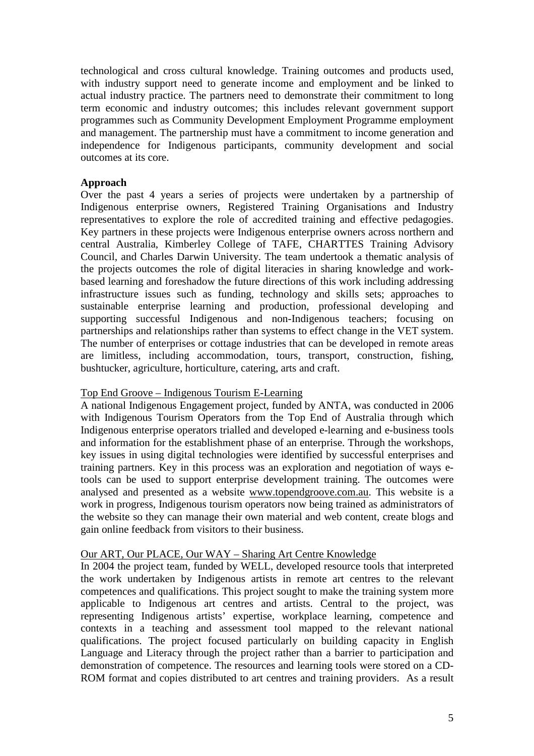technological and cross cultural knowledge. Training outcomes and products used, with industry support need to generate income and employment and be linked to actual industry practice. The partners need to demonstrate their commitment to long term economic and industry outcomes; this includes relevant government support programmes such as Community Development Employment Programme employment and management. The partnership must have a commitment to income generation and independence for Indigenous participants, community development and social outcomes at its core.

## **Approach**

Over the past 4 years a series of projects were undertaken by a partnership of Indigenous enterprise owners, Registered Training Organisations and Industry representatives to explore the role of accredited training and effective pedagogies. Key partners in these projects were Indigenous enterprise owners across northern and central Australia, Kimberley College of TAFE, CHARTTES Training Advisory Council, and Charles Darwin University. The team undertook a thematic analysis of the projects outcomes the role of digital literacies in sharing knowledge and workbased learning and foreshadow the future directions of this work including addressing infrastructure issues such as funding, technology and skills sets; approaches to sustainable enterprise learning and production, professional developing and supporting successful Indigenous and non-Indigenous teachers; focusing on partnerships and relationships rather than systems to effect change in the VET system. The number of enterprises or cottage industries that can be developed in remote areas are limitless, including accommodation, tours, transport, construction, fishing, bushtucker, agriculture, horticulture, catering, arts and craft.

# Top End Groove – Indigenous Tourism E-Learning

A national Indigenous Engagement project, funded by ANTA, was conducted in 2006 with Indigenous Tourism Operators from the Top End of Australia through which Indigenous enterprise operators trialled and developed e-learning and e-business tools and information for the establishment phase of an enterprise. Through the workshops, key issues in using digital technologies were identified by successful enterprises and training partners. Key in this process was an exploration and negotiation of ways etools can be used to support enterprise development training. The outcomes were analysed and presented as a website www.topendgroove.com.au. This website is a work in progress, Indigenous tourism operators now being trained as administrators of the website so they can manage their own material and web content, create blogs and gain online feedback from visitors to their business.

#### Our ART, Our PLACE, Our WAY – Sharing Art Centre Knowledge

In 2004 the project team, funded by WELL, developed resource tools that interpreted the work undertaken by Indigenous artists in remote art centres to the relevant competences and qualifications. This project sought to make the training system more applicable to Indigenous art centres and artists. Central to the project, was representing Indigenous artists' expertise, workplace learning, competence and contexts in a teaching and assessment tool mapped to the relevant national qualifications. The project focused particularly on building capacity in English Language and Literacy through the project rather than a barrier to participation and demonstration of competence. The resources and learning tools were stored on a CD-ROM format and copies distributed to art centres and training providers. As a result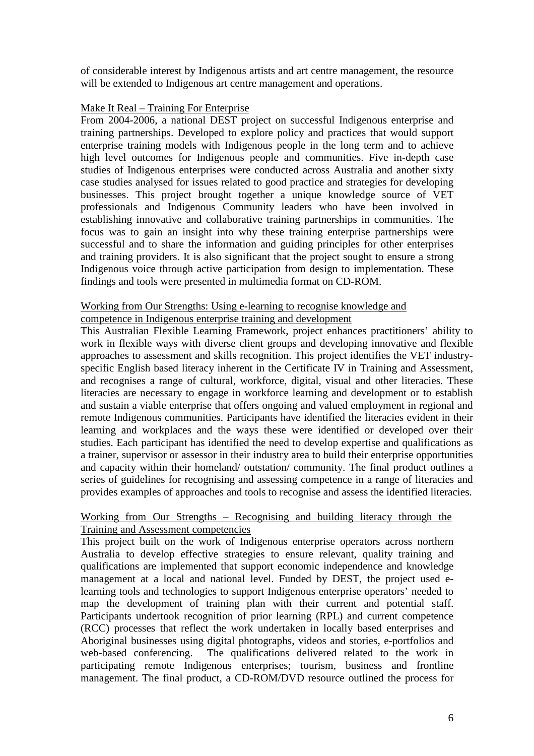of considerable interest by Indigenous artists and art centre management, the resource will be extended to Indigenous art centre management and operations.

#### Make It Real – Training For Enterprise

From 2004-2006, a national DEST project on successful Indigenous enterprise and training partnerships. Developed to explore policy and practices that would support enterprise training models with Indigenous people in the long term and to achieve high level outcomes for Indigenous people and communities. Five in-depth case studies of Indigenous enterprises were conducted across Australia and another sixty case studies analysed for issues related to good practice and strategies for developing businesses. This project brought together a unique knowledge source of VET professionals and Indigenous Community leaders who have been involved in establishing innovative and collaborative training partnerships in communities. The focus was to gain an insight into why these training enterprise partnerships were successful and to share the information and guiding principles for other enterprises and training providers. It is also significant that the project sought to ensure a strong Indigenous voice through active participation from design to implementation. These findings and tools were presented in multimedia format on CD-ROM.

## Working from Our Strengths: Using e-learning to recognise knowledge and competence in Indigenous enterprise training and development

This Australian Flexible Learning Framework, project enhances practitioners' ability to work in flexible ways with diverse client groups and developing innovative and flexible approaches to assessment and skills recognition. This project identifies the VET industryspecific English based literacy inherent in the Certificate IV in Training and Assessment, and recognises a range of cultural, workforce, digital, visual and other literacies. These literacies are necessary to engage in workforce learning and development or to establish and sustain a viable enterprise that offers ongoing and valued employment in regional and remote Indigenous communities. Participants have identified the literacies evident in their learning and workplaces and the ways these were identified or developed over their studies. Each participant has identified the need to develop expertise and qualifications as a trainer, supervisor or assessor in their industry area to build their enterprise opportunities and capacity within their homeland/ outstation/ community. The final product outlines a series of guidelines for recognising and assessing competence in a range of literacies and provides examples of approaches and tools to recognise and assess the identified literacies.

# Working from Our Strengths – Recognising and building literacy through the Training and Assessment competencies

This project built on the work of Indigenous enterprise operators across northern Australia to develop effective strategies to ensure relevant, quality training and qualifications are implemented that support economic independence and knowledge management at a local and national level. Funded by DEST, the project used elearning tools and technologies to support Indigenous enterprise operators' needed to map the development of training plan with their current and potential staff. Participants undertook recognition of prior learning (RPL) and current competence (RCC) processes that reflect the work undertaken in locally based enterprises and Aboriginal businesses using digital photographs, videos and stories, e-portfolios and web-based conferencing. The qualifications delivered related to the work in participating remote Indigenous enterprises; tourism, business and frontline management. The final product, a CD-ROM/DVD resource outlined the process for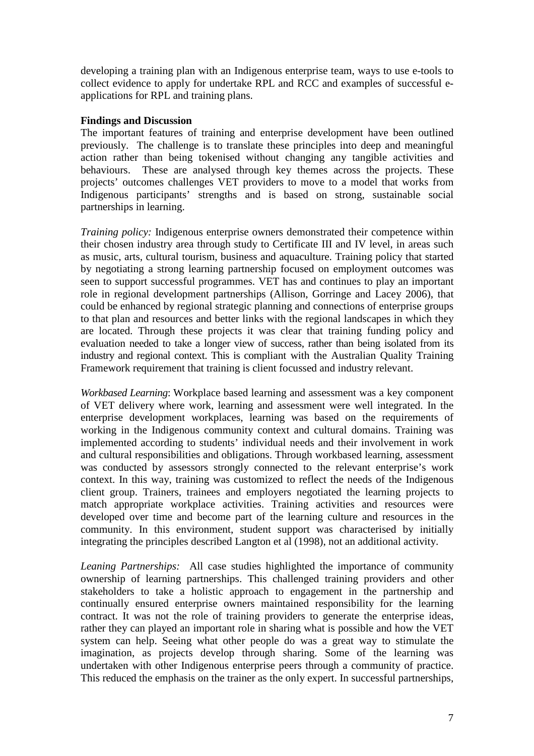developing a training plan with an Indigenous enterprise team, ways to use e-tools to collect evidence to apply for undertake RPL and RCC and examples of successful eapplications for RPL and training plans.

## **Findings and Discussion**

The important features of training and enterprise development have been outlined previously. The challenge is to translate these principles into deep and meaningful action rather than being tokenised without changing any tangible activities and behaviours. These are analysed through key themes across the projects. These projects' outcomes challenges VET providers to move to a model that works from Indigenous participants' strengths and is based on strong, sustainable social partnerships in learning.

*Training policy:* Indigenous enterprise owners demonstrated their competence within their chosen industry area through study to Certificate III and IV level, in areas such as music, arts, cultural tourism, business and aquaculture. Training policy that started by negotiating a strong learning partnership focused on employment outcomes was seen to support successful programmes. VET has and continues to play an important role in regional development partnerships (Allison, Gorringe and Lacey 2006), that could be enhanced by regional strategic planning and connections of enterprise groups to that plan and resources and better links with the regional landscapes in which they are located. Through these projects it was clear that training funding policy and evaluation needed to take a longer view of success, rather than being isolated from its industry and regional context. This is compliant with the Australian Quality Training Framework requirement that training is client focussed and industry relevant.

*Workbased Learning*: Workplace based learning and assessment was a key component of VET delivery where work, learning and assessment were well integrated. In the enterprise development workplaces, learning was based on the requirements of working in the Indigenous community context and cultural domains. Training was implemented according to students' individual needs and their involvement in work and cultural responsibilities and obligations. Through workbased learning, assessment was conducted by assessors strongly connected to the relevant enterprise's work context. In this way, training was customized to reflect the needs of the Indigenous client group. Trainers, trainees and employers negotiated the learning projects to match appropriate workplace activities. Training activities and resources were developed over time and become part of the learning culture and resources in the community. In this environment, student support was characterised by initially integrating the principles described Langton et al (1998), not an additional activity.

*Leaning Partnerships:* All case studies highlighted the importance of community ownership of learning partnerships. This challenged training providers and other stakeholders to take a holistic approach to engagement in the partnership and continually ensured enterprise owners maintained responsibility for the learning contract. It was not the role of training providers to generate the enterprise ideas, rather they can played an important role in sharing what is possible and how the VET system can help. Seeing what other people do was a great way to stimulate the imagination, as projects develop through sharing. Some of the learning was undertaken with other Indigenous enterprise peers through a community of practice. This reduced the emphasis on the trainer as the only expert. In successful partnerships,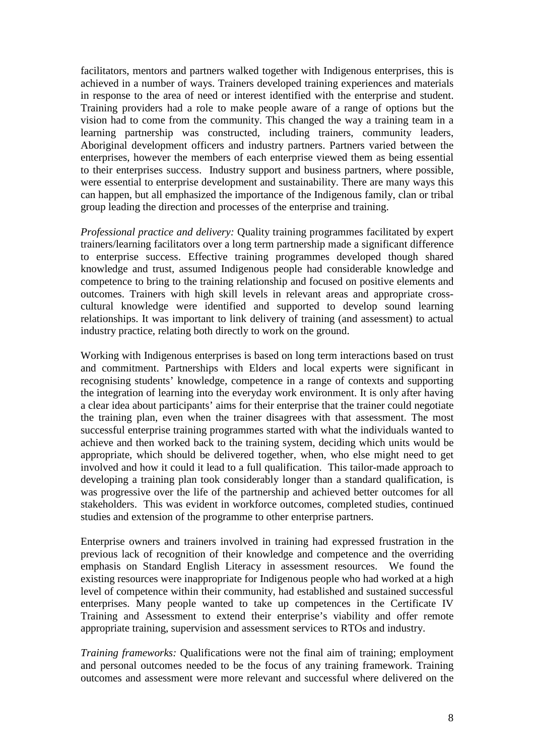facilitators, mentors and partners walked together with Indigenous enterprises, this is achieved in a number of ways. Trainers developed training experiences and materials in response to the area of need or interest identified with the enterprise and student. Training providers had a role to make people aware of a range of options but the vision had to come from the community. This changed the way a training team in a learning partnership was constructed, including trainers, community leaders, Aboriginal development officers and industry partners. Partners varied between the enterprises, however the members of each enterprise viewed them as being essential to their enterprises success. Industry support and business partners, where possible, were essential to enterprise development and sustainability. There are many ways this can happen, but all emphasized the importance of the Indigenous family, clan or tribal group leading the direction and processes of the enterprise and training.

*Professional practice and delivery:* Quality training programmes facilitated by expert trainers/learning facilitators over a long term partnership made a significant difference to enterprise success. Effective training programmes developed though shared knowledge and trust, assumed Indigenous people had considerable knowledge and competence to bring to the training relationship and focused on positive elements and outcomes. Trainers with high skill levels in relevant areas and appropriate crosscultural knowledge were identified and supported to develop sound learning relationships. It was important to link delivery of training (and assessment) to actual industry practice, relating both directly to work on the ground.

Working with Indigenous enterprises is based on long term interactions based on trust and commitment. Partnerships with Elders and local experts were significant in recognising students' knowledge, competence in a range of contexts and supporting the integration of learning into the everyday work environment. It is only after having a clear idea about participants' aims for their enterprise that the trainer could negotiate the training plan, even when the trainer disagrees with that assessment. The most successful enterprise training programmes started with what the individuals wanted to achieve and then worked back to the training system, deciding which units would be appropriate, which should be delivered together, when, who else might need to get involved and how it could it lead to a full qualification. This tailor-made approach to developing a training plan took considerably longer than a standard qualification, is was progressive over the life of the partnership and achieved better outcomes for all stakeholders. This was evident in workforce outcomes, completed studies, continued studies and extension of the programme to other enterprise partners.

Enterprise owners and trainers involved in training had expressed frustration in the previous lack of recognition of their knowledge and competence and the overriding emphasis on Standard English Literacy in assessment resources. We found the existing resources were inappropriate for Indigenous people who had worked at a high level of competence within their community, had established and sustained successful enterprises. Many people wanted to take up competences in the Certificate IV Training and Assessment to extend their enterprise's viability and offer remote appropriate training, supervision and assessment services to RTOs and industry.

*Training frameworks:* Qualifications were not the final aim of training; employment and personal outcomes needed to be the focus of any training framework. Training outcomes and assessment were more relevant and successful where delivered on the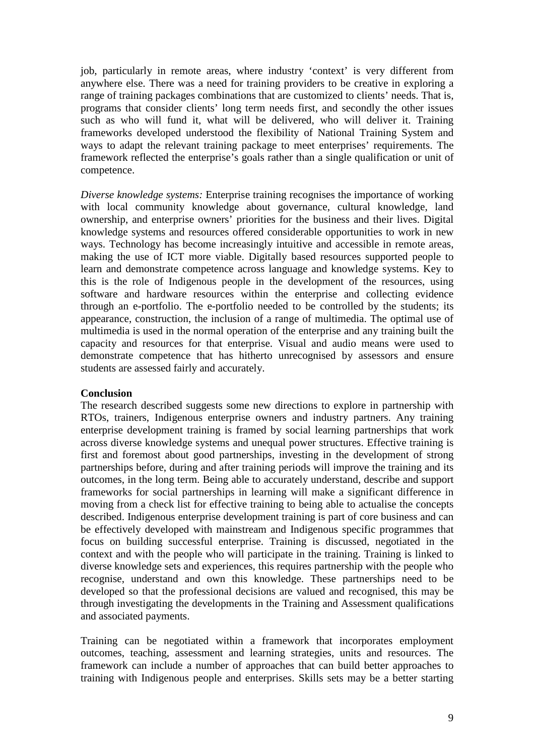job, particularly in remote areas, where industry 'context' is very different from anywhere else. There was a need for training providers to be creative in exploring a range of training packages combinations that are customized to clients' needs. That is, programs that consider clients' long term needs first, and secondly the other issues such as who will fund it, what will be delivered, who will deliver it. Training frameworks developed understood the flexibility of National Training System and ways to adapt the relevant training package to meet enterprises' requirements. The framework reflected the enterprise's goals rather than a single qualification or unit of competence.

*Diverse knowledge systems:* Enterprise training recognises the importance of working with local community knowledge about governance, cultural knowledge, land ownership, and enterprise owners' priorities for the business and their lives. Digital knowledge systems and resources offered considerable opportunities to work in new ways. Technology has become increasingly intuitive and accessible in remote areas, making the use of ICT more viable. Digitally based resources supported people to learn and demonstrate competence across language and knowledge systems. Key to this is the role of Indigenous people in the development of the resources, using software and hardware resources within the enterprise and collecting evidence through an e-portfolio. The e-portfolio needed to be controlled by the students; its appearance, construction, the inclusion of a range of multimedia. The optimal use of multimedia is used in the normal operation of the enterprise and any training built the capacity and resources for that enterprise. Visual and audio means were used to demonstrate competence that has hitherto unrecognised by assessors and ensure students are assessed fairly and accurately.

#### **Conclusion**

The research described suggests some new directions to explore in partnership with RTOs, trainers, Indigenous enterprise owners and industry partners. Any training enterprise development training is framed by social learning partnerships that work across diverse knowledge systems and unequal power structures. Effective training is first and foremost about good partnerships, investing in the development of strong partnerships before, during and after training periods will improve the training and its outcomes, in the long term. Being able to accurately understand, describe and support frameworks for social partnerships in learning will make a significant difference in moving from a check list for effective training to being able to actualise the concepts described. Indigenous enterprise development training is part of core business and can be effectively developed with mainstream and Indigenous specific programmes that focus on building successful enterprise. Training is discussed, negotiated in the context and with the people who will participate in the training. Training is linked to diverse knowledge sets and experiences, this requires partnership with the people who recognise, understand and own this knowledge. These partnerships need to be developed so that the professional decisions are valued and recognised, this may be through investigating the developments in the Training and Assessment qualifications and associated payments.

Training can be negotiated within a framework that incorporates employment outcomes, teaching, assessment and learning strategies, units and resources. The framework can include a number of approaches that can build better approaches to training with Indigenous people and enterprises. Skills sets may be a better starting